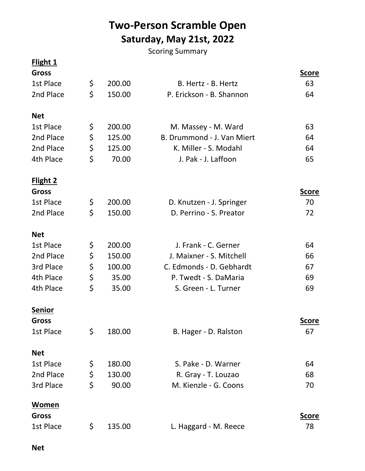## **Two-Person Scramble Open Saturday, May 21st, 2022**

Scoring Summary

## **Flight 1**

| <b>Gross</b>    |              |                            | <b>Score</b> |
|-----------------|--------------|----------------------------|--------------|
| 1st Place       | \$<br>200.00 | B. Hertz - B. Hertz        | 63           |
| 2nd Place       | \$<br>150.00 | P. Erickson - B. Shannon   | 64           |
| <b>Net</b>      |              |                            |              |
| 1st Place       | \$<br>200.00 | M. Massey - M. Ward        | 63           |
| 2nd Place       | \$<br>125.00 | B. Drummond - J. Van Miert | 64           |
| 2nd Place       | \$<br>125.00 | K. Miller - S. Modahl      | 64           |
| 4th Place       | \$<br>70.00  | J. Pak - J. Laffoon        | 65           |
| <b>Flight 2</b> |              |                            |              |
| <b>Gross</b>    |              |                            | <u>Score</u> |
| 1st Place       | \$<br>200.00 | D. Knutzen - J. Springer   | 70           |
| 2nd Place       | \$<br>150.00 | D. Perrino - S. Preator    | 72           |
| <b>Net</b>      |              |                            |              |
| 1st Place       | \$<br>200.00 | J. Frank - C. Gerner       | 64           |
| 2nd Place       | \$<br>150.00 | J. Maixner - S. Mitchell   | 66           |
| 3rd Place       | \$<br>100.00 | C. Edmonds - D. Gebhardt   | 67           |
| 4th Place       | \$<br>35.00  | P. Twedt - S. DaMaria      | 69           |
| 4th Place       | \$<br>35.00  | S. Green - L. Turner       | 69           |
| <b>Senior</b>   |              |                            |              |
| <b>Gross</b>    |              |                            | <u>Score</u> |
| 1st Place       | \$<br>180.00 | B. Hager - D. Ralston      | 67           |
| <b>Net</b>      |              |                            |              |
| 1st Place       | \$<br>180.00 | S. Pake - D. Warner        | 64           |
| 2nd Place       | \$<br>130.00 | R. Gray - T. Louzao        | 68           |
| 3rd Place       | \$<br>90.00  | M. Kienzle - G. Coons      | 70           |
| Women           |              |                            |              |
| <b>Gross</b>    |              |                            | <u>Score</u> |
| 1st Place       | \$<br>135.00 | L. Haggard - M. Reece      | 78           |